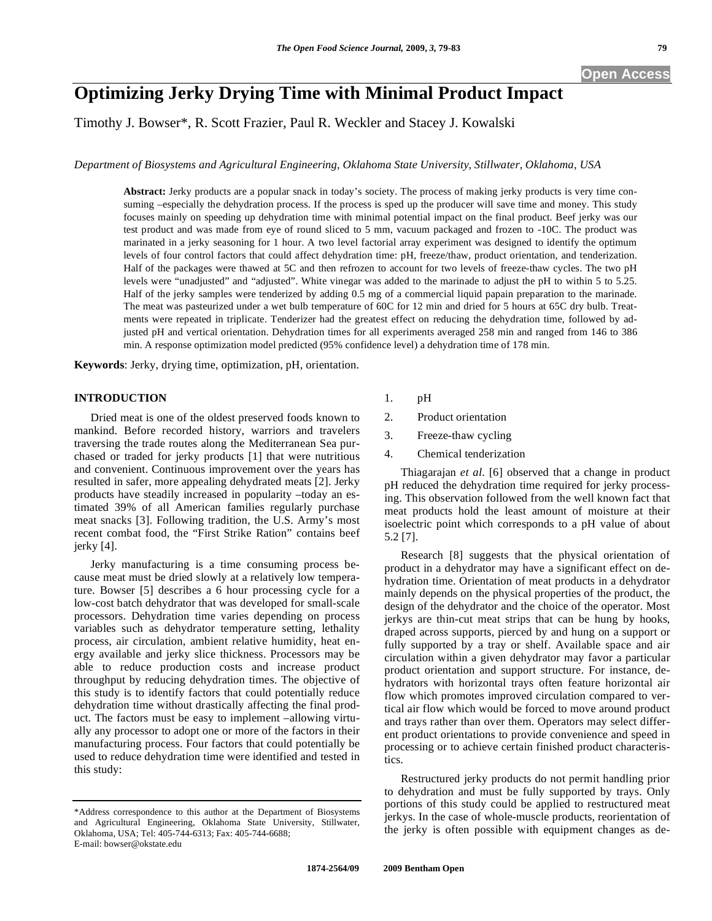# **Optimizing Jerky Drying Time with Minimal Product Impact**

Timothy J. Bowser\*, R. Scott Frazier, Paul R. Weckler and Stacey J. Kowalski

*Department of Biosystems and Agricultural Engineering, Oklahoma State University, Stillwater, Oklahoma, USA* 

**Abstract:** Jerky products are a popular snack in today's society. The process of making jerky products is very time consuming –especially the dehydration process. If the process is sped up the producer will save time and money. This study focuses mainly on speeding up dehydration time with minimal potential impact on the final product. Beef jerky was our test product and was made from eye of round sliced to 5 mm, vacuum packaged and frozen to -10C. The product was marinated in a jerky seasoning for 1 hour. A two level factorial array experiment was designed to identify the optimum levels of four control factors that could affect dehydration time: pH, freeze/thaw, product orientation, and tenderization. Half of the packages were thawed at 5C and then refrozen to account for two levels of freeze-thaw cycles. The two pH levels were "unadjusted" and "adjusted". White vinegar was added to the marinade to adjust the pH to within 5 to 5.25. Half of the jerky samples were tenderized by adding 0.5 mg of a commercial liquid papain preparation to the marinade. The meat was pasteurized under a wet bulb temperature of 60C for 12 min and dried for 5 hours at 65C dry bulb. Treatments were repeated in triplicate. Tenderizer had the greatest effect on reducing the dehydration time, followed by adjusted pH and vertical orientation. Dehydration times for all experiments averaged 258 min and ranged from 146 to 386 min. A response optimization model predicted (95% confidence level) a dehydration time of 178 min.

**Keywords**: Jerky, drying time, optimization, pH, orientation.

### **INTRODUCTION**

Dried meat is one of the oldest preserved foods known to mankind. Before recorded history, warriors and travelers traversing the trade routes along the Mediterranean Sea purchased or traded for jerky products [1] that were nutritious and convenient. Continuous improvement over the years has resulted in safer, more appealing dehydrated meats [2]. Jerky products have steadily increased in popularity –today an estimated 39% of all American families regularly purchase meat snacks [3]. Following tradition, the U.S. Army's most recent combat food, the "First Strike Ration" contains beef jerky [4].

Jerky manufacturing is a time consuming process because meat must be dried slowly at a relatively low temperature. Bowser [5] describes a 6 hour processing cycle for a low-cost batch dehydrator that was developed for small-scale processors. Dehydration time varies depending on process variables such as dehydrator temperature setting, lethality process, air circulation, ambient relative humidity, heat energy available and jerky slice thickness. Processors may be able to reduce production costs and increase product throughput by reducing dehydration times. The objective of this study is to identify factors that could potentially reduce dehydration time without drastically affecting the final product. The factors must be easy to implement –allowing virtually any processor to adopt one or more of the factors in their manufacturing process. Four factors that could potentially be used to reduce dehydration time were identified and tested in this study:

- 1. pH
- 2. Product orientation
- 3. Freeze-thaw cycling
- 4. Chemical tenderization

Thiagarajan *et al*. [6] observed that a change in product pH reduced the dehydration time required for jerky processing. This observation followed from the well known fact that meat products hold the least amount of moisture at their isoelectric point which corresponds to a pH value of about 5.2 [7].

Research [8] suggests that the physical orientation of product in a dehydrator may have a significant effect on dehydration time. Orientation of meat products in a dehydrator mainly depends on the physical properties of the product, the design of the dehydrator and the choice of the operator. Most jerkys are thin-cut meat strips that can be hung by hooks, draped across supports, pierced by and hung on a support or fully supported by a tray or shelf. Available space and air circulation within a given dehydrator may favor a particular product orientation and support structure. For instance, dehydrators with horizontal trays often feature horizontal air flow which promotes improved circulation compared to vertical air flow which would be forced to move around product and trays rather than over them. Operators may select different product orientations to provide convenience and speed in processing or to achieve certain finished product characteristics.

Restructured jerky products do not permit handling prior to dehydration and must be fully supported by trays. Only portions of this study could be applied to restructured meat jerkys. In the case of whole-muscle products, reorientation of the jerky is often possible with equipment changes as de-

<sup>\*</sup>Address correspondence to this author at the Department of Biosystems and Agricultural Engineering, Oklahoma State University, Stillwater, Oklahoma, USA; Tel: 405-744-6313; Fax: 405-744-6688; E-mail: bowser@okstate.edu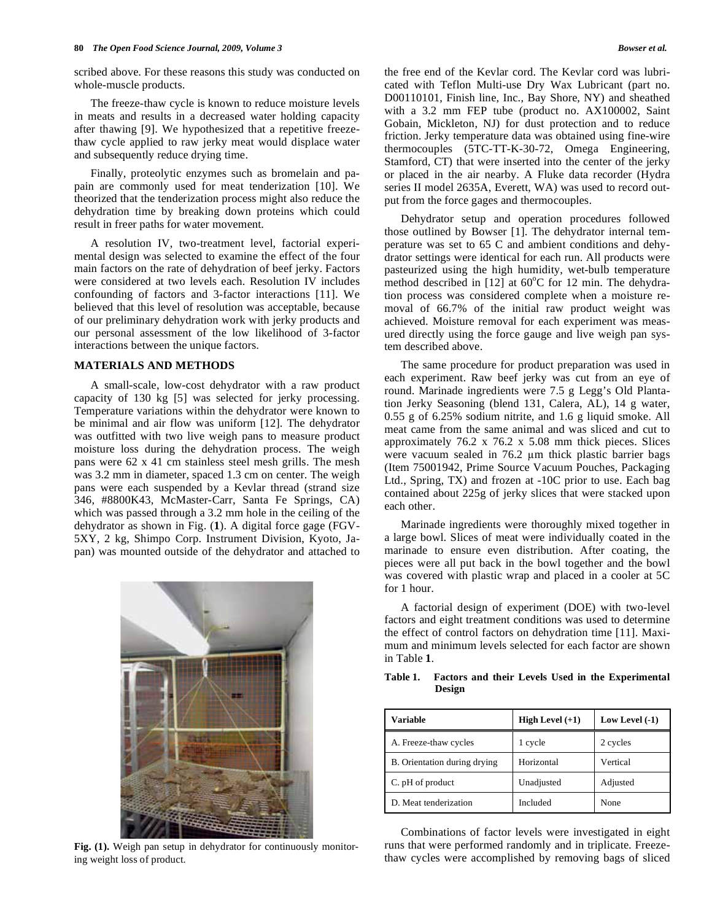scribed above. For these reasons this study was conducted on whole-muscle products.

The freeze-thaw cycle is known to reduce moisture levels in meats and results in a decreased water holding capacity after thawing [9]. We hypothesized that a repetitive freezethaw cycle applied to raw jerky meat would displace water and subsequently reduce drying time.

Finally, proteolytic enzymes such as bromelain and papain are commonly used for meat tenderization [10]. We theorized that the tenderization process might also reduce the dehydration time by breaking down proteins which could result in freer paths for water movement.

A resolution IV, two-treatment level, factorial experimental design was selected to examine the effect of the four main factors on the rate of dehydration of beef jerky. Factors were considered at two levels each. Resolution IV includes confounding of factors and 3-factor interactions [11]. We believed that this level of resolution was acceptable, because of our preliminary dehydration work with jerky products and our personal assessment of the low likelihood of 3-factor interactions between the unique factors.

## **MATERIALS AND METHODS**

A small-scale, low-cost dehydrator with a raw product capacity of 130 kg [5] was selected for jerky processing. Temperature variations within the dehydrator were known to be minimal and air flow was uniform [12]. The dehydrator was outfitted with two live weigh pans to measure product moisture loss during the dehydration process. The weigh pans were 62 x 41 cm stainless steel mesh grills. The mesh was 3.2 mm in diameter, spaced 1.3 cm on center. The weigh pans were each suspended by a Kevlar thread (strand size 346, #8800K43, McMaster-Carr, Santa Fe Springs, CA) which was passed through a 3.2 mm hole in the ceiling of the dehydrator as shown in Fig. (**1**). A digital force gage (FGV-5XY, 2 kg, Shimpo Corp. Instrument Division, Kyoto, Japan) was mounted outside of the dehydrator and attached to



**Fig. (1).** Weigh pan setup in dehydrator for continuously monitoring weight loss of product.

the free end of the Kevlar cord. The Kevlar cord was lubricated with Teflon Multi-use Dry Wax Lubricant (part no. D00110101, Finish line, Inc., Bay Shore, NY) and sheathed with a 3.2 mm FEP tube (product no. AX100002, Saint Gobain, Mickleton, NJ) for dust protection and to reduce friction. Jerky temperature data was obtained using fine-wire thermocouples (5TC-TT-K-30-72, Omega Engineering, Stamford, CT) that were inserted into the center of the jerky or placed in the air nearby. A Fluke data recorder (Hydra series II model 2635A, Everett, WA) was used to record output from the force gages and thermocouples.

Dehydrator setup and operation procedures followed those outlined by Bowser [1]. The dehydrator internal temperature was set to 65 C and ambient conditions and dehydrator settings were identical for each run. All products were pasteurized using the high humidity, wet-bulb temperature method described in  $[12]$  at 60°C for 12 min. The dehydration process was considered complete when a moisture removal of 66.7% of the initial raw product weight was achieved. Moisture removal for each experiment was measured directly using the force gauge and live weigh pan system described above.

The same procedure for product preparation was used in each experiment. Raw beef jerky was cut from an eye of round. Marinade ingredients were 7.5 g Legg's Old Plantation Jerky Seasoning (blend 131, Calera, AL), 14 g water, 0.55 g of 6.25% sodium nitrite, and 1.6 g liquid smoke. All meat came from the same animal and was sliced and cut to approximately 76.2 x 76.2 x 5.08 mm thick pieces. Slices were vacuum sealed in 76.2 µm thick plastic barrier bags (Item 75001942, Prime Source Vacuum Pouches, Packaging Ltd., Spring, TX) and frozen at -10C prior to use. Each bag contained about 225g of jerky slices that were stacked upon each other.

Marinade ingredients were thoroughly mixed together in a large bowl. Slices of meat were individually coated in the marinade to ensure even distribution. After coating, the pieces were all put back in the bowl together and the bowl was covered with plastic wrap and placed in a cooler at 5C for 1 hour.

A factorial design of experiment (DOE) with two-level factors and eight treatment conditions was used to determine the effect of control factors on dehydration time [11]. Maximum and minimum levels selected for each factor are shown in Table **1**.

| Variable                     | High Level $(+1)$ | Low Level $(-1)$ |
|------------------------------|-------------------|------------------|
| A. Freeze-thaw cycles        | 1 cycle           | 2 cycles         |
| B. Orientation during drying | Horizontal        | Vertical         |
| C. pH of product             | Unadjusted        | Adjusted         |
| D. Meat tenderization        | Included          | None             |

**Table 1. Factors and their Levels Used in the Experimental Design** 

Combinations of factor levels were investigated in eight runs that were performed randomly and in triplicate. Freezethaw cycles were accomplished by removing bags of sliced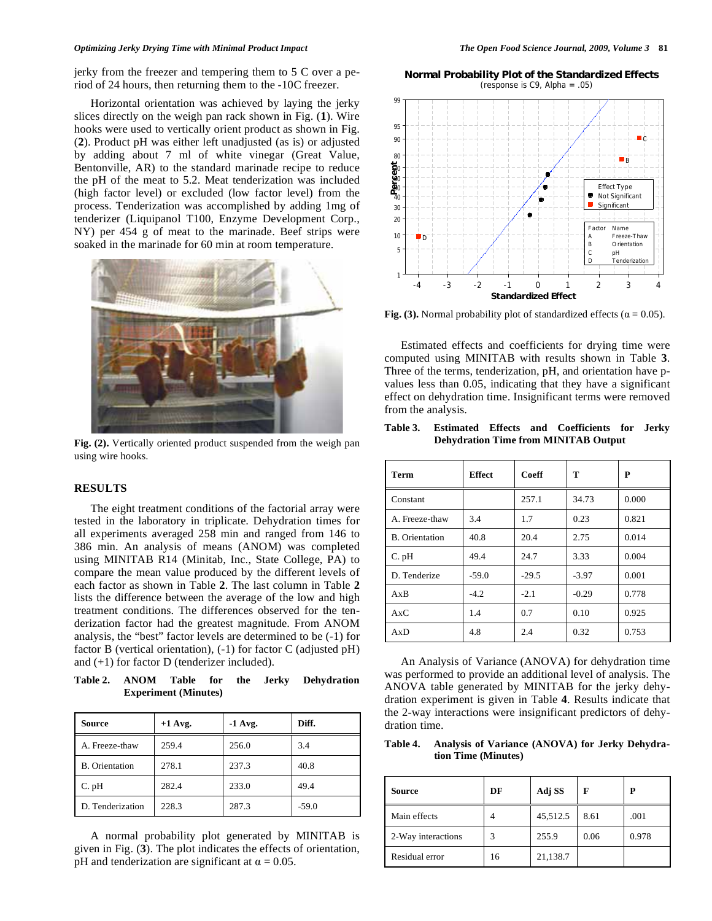#### *Optimizing Jerky Drying Time with Minimal Product Impact The Open Food Science Journal, 2009, Volume 3* **81**

jerky from the freezer and tempering them to 5 C over a period of 24 hours, then returning them to the -10C freezer.

Horizontal orientation was achieved by laying the jerky slices directly on the weigh pan rack shown in Fig. (**1**). Wire hooks were used to vertically orient product as shown in Fig. (**2**). Product pH was either left unadjusted (as is) or adjusted by adding about 7 ml of white vinegar (Great Value, Bentonville, AR) to the standard marinade recipe to reduce the pH of the meat to 5.2. Meat tenderization was included (high factor level) or excluded (low factor level) from the process. Tenderization was accomplished by adding 1mg of tenderizer (Liquipanol T100, Enzyme Development Corp., NY) per 454 g of meat to the marinade. Beef strips were soaked in the marinade for 60 min at room temperature.



**Fig. (2).** Vertically oriented product suspended from the weigh pan using wire hooks.

#### **RESULTS**

The eight treatment conditions of the factorial array were tested in the laboratory in triplicate. Dehydration times for all experiments averaged 258 min and ranged from 146 to 386 min. An analysis of means (ANOM) was completed using MINITAB R14 (Minitab, Inc., State College, PA) to compare the mean value produced by the different levels of each factor as shown in Table **2**. The last column in Table **2** lists the difference between the average of the low and high treatment conditions. The differences observed for the tenderization factor had the greatest magnitude. From ANOM analysis, the "best" factor levels are determined to be (-1) for factor B (vertical orientation), (-1) for factor C (adjusted pH) and (+1) for factor D (tenderizer included).

**Table 2. ANOM Table for the Jerky Dehydration Experiment (Minutes)** 

| Source                | $+1$ Avg. | $-1$ Avg. | Diff.   |
|-----------------------|-----------|-----------|---------|
| A. Freeze-thaw        | 259.4     | 256.0     | 3.4     |
| <b>B.</b> Orientation | 278.1     | 237.3     | 40.8    |
| $C.$ pH               | 282.4     | 233.0     | 49.4    |
| D. Tenderization      | 228.3     | 287.3     | $-59.0$ |

A normal probability plot generated by MINITAB is given in Fig. (**3**). The plot indicates the effects of orientation, pH and tenderization are significant at  $\alpha = 0.05$ .

**Normal Probability Plot of the Standardized Effects** (response is C9, Alpha =  $.05$ )



**Fig. (3).** Normal probability plot of standardized effects ( $\alpha = 0.05$ ).

Estimated effects and coefficients for drying time were computed using MINITAB with results shown in Table **3**. Three of the terms, tenderization, pH, and orientation have pvalues less than 0.05, indicating that they have a significant effect on dehydration time. Insignificant terms were removed from the analysis.

**Table 3. Estimated Effects and Coefficients for Jerky Dehydration Time from MINITAB Output** 

| Term                  | <b>Effect</b> | Coeff   | T       | P     |
|-----------------------|---------------|---------|---------|-------|
| Constant              |               | 257.1   | 34.73   | 0.000 |
| A. Freeze-thaw        | 3.4           | 1.7     | 0.23    | 0.821 |
| <b>B.</b> Orientation | 40.8          | 20.4    | 2.75    | 0.014 |
| $C.$ $pH$             | 49.4          | 24.7    | 3.33    | 0.004 |
| D. Tenderize          | $-59.0$       | $-29.5$ | $-3.97$ | 0.001 |
| AxB                   | $-4.2$        | $-2.1$  | $-0.29$ | 0.778 |
| AxC                   | 1.4           | 0.7     | 0.10    | 0.925 |
| AxD                   | 4.8           | 2.4     | 0.32    | 0.753 |

An Analysis of Variance (ANOVA) for dehydration time was performed to provide an additional level of analysis. The ANOVA table generated by MINITAB for the jerky dehydration experiment is given in Table **4**. Results indicate that the 2-way interactions were insignificant predictors of dehydration time.

**Table 4. Analysis of Variance (ANOVA) for Jerky Dehydration Time (Minutes)** 

| <b>Source</b>      | DF | Adj SS   | F    | Р     |
|--------------------|----|----------|------|-------|
| Main effects       | 4  | 45,512.5 | 8.61 | .001  |
| 2-Way interactions | 3  | 255.9    | 0.06 | 0.978 |
| Residual error     | 16 | 21,138.7 |      |       |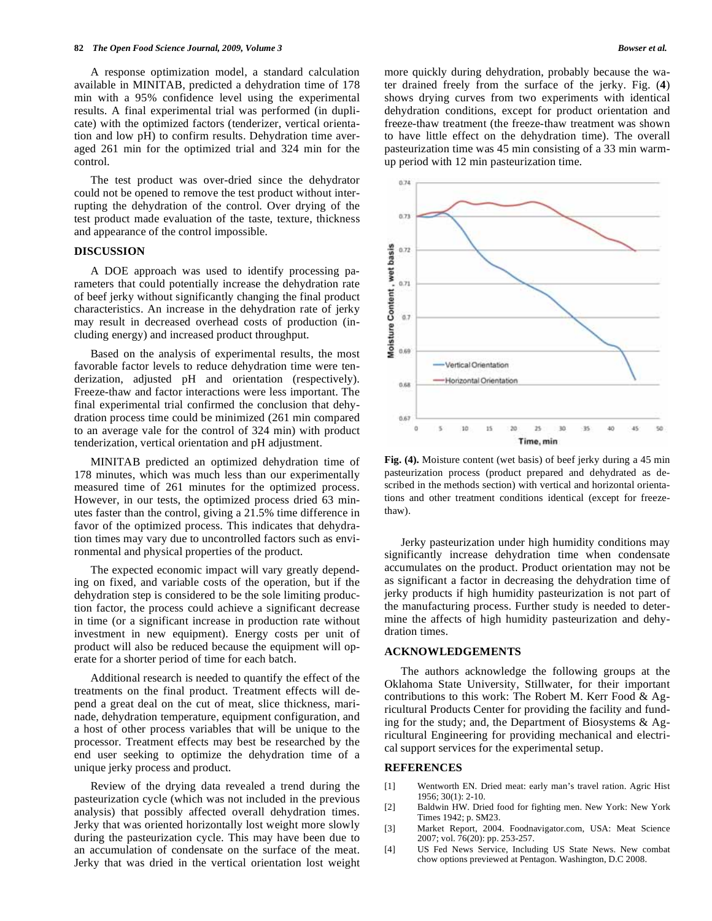A response optimization model, a standard calculation available in MINITAB, predicted a dehydration time of 178 min with a 95% confidence level using the experimental results. A final experimental trial was performed (in duplicate) with the optimized factors (tenderizer, vertical orientation and low pH) to confirm results. Dehydration time averaged 261 min for the optimized trial and 324 min for the control.

The test product was over-dried since the dehydrator could not be opened to remove the test product without interrupting the dehydration of the control. Over drying of the test product made evaluation of the taste, texture, thickness and appearance of the control impossible.

#### **DISCUSSION**

A DOE approach was used to identify processing parameters that could potentially increase the dehydration rate of beef jerky without significantly changing the final product characteristics. An increase in the dehydration rate of jerky may result in decreased overhead costs of production (including energy) and increased product throughput.

Based on the analysis of experimental results, the most favorable factor levels to reduce dehydration time were tenderization, adjusted pH and orientation (respectively). Freeze-thaw and factor interactions were less important. The final experimental trial confirmed the conclusion that dehydration process time could be minimized (261 min compared to an average vale for the control of 324 min) with product tenderization, vertical orientation and pH adjustment.

MINITAB predicted an optimized dehydration time of 178 minutes, which was much less than our experimentally measured time of 261 minutes for the optimized process. However, in our tests, the optimized process dried 63 minutes faster than the control, giving a 21.5% time difference in favor of the optimized process. This indicates that dehydration times may vary due to uncontrolled factors such as environmental and physical properties of the product.

The expected economic impact will vary greatly depending on fixed, and variable costs of the operation, but if the dehydration step is considered to be the sole limiting production factor, the process could achieve a significant decrease in time (or a significant increase in production rate without investment in new equipment). Energy costs per unit of product will also be reduced because the equipment will operate for a shorter period of time for each batch.

Additional research is needed to quantify the effect of the treatments on the final product. Treatment effects will depend a great deal on the cut of meat, slice thickness, marinade, dehydration temperature, equipment configuration, and a host of other process variables that will be unique to the processor. Treatment effects may best be researched by the end user seeking to optimize the dehydration time of a unique jerky process and product.

Review of the drying data revealed a trend during the pasteurization cycle (which was not included in the previous analysis) that possibly affected overall dehydration times. Jerky that was oriented horizontally lost weight more slowly during the pasteurization cycle. This may have been due to an accumulation of condensate on the surface of the meat. Jerky that was dried in the vertical orientation lost weight more quickly during dehydration, probably because the water drained freely from the surface of the jerky. Fig. (**4**) shows drying curves from two experiments with identical dehydration conditions, except for product orientation and freeze-thaw treatment (the freeze-thaw treatment was shown to have little effect on the dehydration time). The overall pasteurization time was 45 min consisting of a 33 min warmup period with 12 min pasteurization time.



**Fig. (4).** Moisture content (wet basis) of beef jerky during a 45 min pasteurization process (product prepared and dehydrated as described in the methods section) with vertical and horizontal orientations and other treatment conditions identical (except for freezethaw).

Jerky pasteurization under high humidity conditions may significantly increase dehydration time when condensate accumulates on the product. Product orientation may not be as significant a factor in decreasing the dehydration time of jerky products if high humidity pasteurization is not part of the manufacturing process. Further study is needed to determine the affects of high humidity pasteurization and dehydration times.

# **ACKNOWLEDGEMENTS**

The authors acknowledge the following groups at the Oklahoma State University, Stillwater, for their important contributions to this work: The Robert M. Kerr Food & Agricultural Products Center for providing the facility and funding for the study; and, the Department of Biosystems  $\&$  Agricultural Engineering for providing mechanical and electrical support services for the experimental setup.

#### **REFERENCES**

- [1] Wentworth EN. Dried meat: early man's travel ration. Agric Hist 1956; 30(1): 2-10.
- [2] Baldwin HW. Dried food for fighting men. New York: New York Times 1942; p. SM23.
- [3] Market Report, 2004. Foodnavigator.com, USA: Meat Science 2007; vol. 76(20): pp. 253-257.
- [4] US Fed News Service, Including US State News. New combat chow options previewed at Pentagon. Washington, D.C 2008.